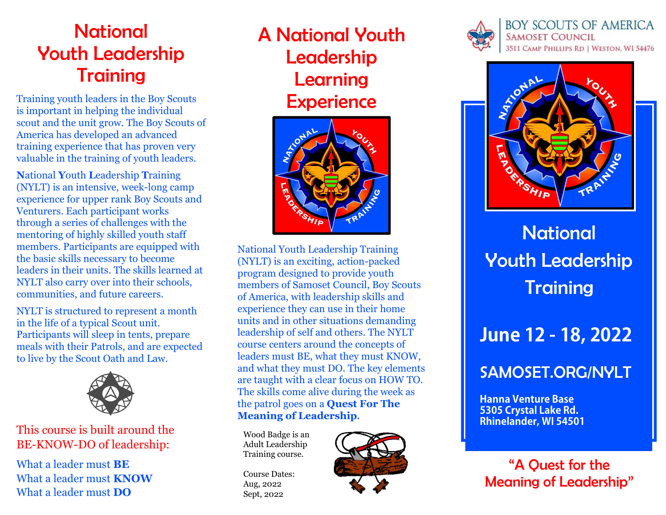# **National** Youth Leadership **Training**

Training youth leaders in the Boy Scouts is important in helping the individual scout and the unit grow. The Boy Scouts of America has developed an advanced training experience that has proven very valuable in the training of youth leaders.

**N**ational **Y**outh **L**eadership **T**raining (NYLT) is an intensive, week-long camp experience for upper rank Boy Scouts and Venturers. Each participant works through a series of challenges with the mentoring of highly skilled youth staff members. Participants are equipped with the basic skills necessary to become leaders in their units. The skills learned at NYLT also carry over into their schools, communities, and future careers.

NYLT is structured to represent a month in the life of a typical Scout unit. Participants will sleep in tents, prepare meals with their Patrols, and are expected to live by the Scout Oath and Law.



This course is built around the BE-KNOW-DO of leadership:

What a leader must **BE** What a leader must **KNOW** What a leader must **DO**

A National Youth Leadership Learning **Experience** 



National Youth Leadership Training (NYLT) is an exciting, action-packed program designed to provide youth members of Samoset Council, Boy Scouts of America, with leadership skills and experience they can use in their home units and in other situations demanding leadership of self and others. The NYLT course centers around the concepts of leaders must BE, what they must KNOW, and what they must DO. The key elements are taught with a clear focus on HOW TO. The skills come alive during the week as the patrol goes on a **Quest For The Meaning of Leadership.**

Wood Badge is an Adult Leadership Training course.

Course Dates: Aug, 2022 Sept, 2022







**National** Youth Leadership **Training** 

# **June 12 - 18, 2022**

## SAMOSET.ORG/NYLT

**Hanna Venture Base 5305 Crystal Lake Rd. Rhinelander, WI 54501**

"A Quest for the Meaning of Leadership"